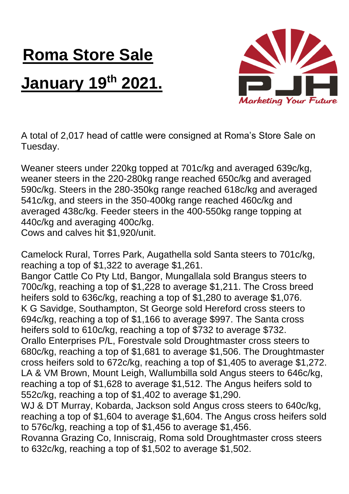## **Roma Store Sale January 19th 2021.**



A total of 2,017 head of cattle were consigned at Roma's Store Sale on Tuesday.

Weaner steers under 220kg topped at 701c/kg and averaged 639c/kg, weaner steers in the 220-280kg range reached 650c/kg and averaged 590c/kg. Steers in the 280-350kg range reached 618c/kg and averaged 541c/kg, and steers in the 350-400kg range reached 460c/kg and averaged 438c/kg. Feeder steers in the 400-550kg range topping at 440c/kg and averaging 400c/kg. Cows and calves hit \$1,920/unit.

Camelock Rural, Torres Park, Augathella sold Santa steers to 701c/kg,

reaching a top of \$1,322 to average \$1,261. Bangor Cattle Co Pty Ltd, Bangor, Mungallala sold Brangus steers to

700c/kg, reaching a top of \$1,228 to average \$1,211. The Cross breed heifers sold to 636c/kg, reaching a top of \$1,280 to average \$1,076. K G Savidge, Southampton, St George sold Hereford cross steers to 694c/kg, reaching a top of \$1,166 to average \$997. The Santa cross heifers sold to 610c/kg, reaching a top of \$732 to average \$732. Orallo Enterprises P/L, Forestvale sold Droughtmaster cross steers to 680c/kg, reaching a top of \$1,681 to average \$1,506. The Droughtmaster cross heifers sold to 672c/kg, reaching a top of \$1,405 to average \$1,272. LA & VM Brown, Mount Leigh, Wallumbilla sold Angus steers to 646c/kg, reaching a top of \$1,628 to average \$1,512. The Angus heifers sold to 552c/kg, reaching a top of \$1,402 to average \$1,290.

WJ & DT Murray, Kobarda, Jackson sold Angus cross steers to 640c/kg, reaching a top of \$1,604 to average \$1,604. The Angus cross heifers sold to 576c/kg, reaching a top of \$1,456 to average \$1,456.

Rovanna Grazing Co, Inniscraig, Roma sold Droughtmaster cross steers to 632c/kg, reaching a top of \$1,502 to average \$1,502.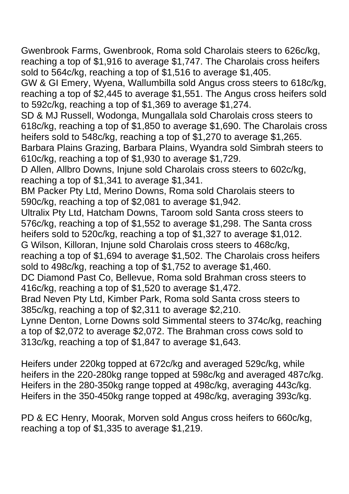Gwenbrook Farms, Gwenbrook, Roma sold Charolais steers to 626c/kg, reaching a top of \$1,916 to average \$1,747. The Charolais cross heifers sold to 564c/kg, reaching a top of \$1,516 to average \$1,405.

GW & GI Emery, Wyena, Wallumbilla sold Angus cross steers to 618c/kg, reaching a top of \$2,445 to average \$1,551. The Angus cross heifers sold to 592c/kg, reaching a top of \$1,369 to average \$1,274.

SD & MJ Russell, Wodonga, Mungallala sold Charolais cross steers to 618c/kg, reaching a top of \$1,850 to average \$1,690. The Charolais cross heifers sold to 548c/kg, reaching a top of \$1,270 to average \$1,265.

Barbara Plains Grazing, Barbara Plains, Wyandra sold Simbrah steers to 610c/kg, reaching a top of \$1,930 to average \$1,729.

D Allen, Allbro Downs, Injune sold Charolais cross steers to 602c/kg, reaching a top of \$1,341 to average \$1,341.

BM Packer Pty Ltd, Merino Downs, Roma sold Charolais steers to 590c/kg, reaching a top of \$2,081 to average \$1,942.

Ultralix Pty Ltd, Hatcham Downs, Taroom sold Santa cross steers to 576c/kg, reaching a top of \$1,552 to average \$1,298. The Santa cross heifers sold to 520c/kg, reaching a top of \$1,327 to average \$1,012.

G Wilson, Killoran, Injune sold Charolais cross steers to 468c/kg, reaching a top of \$1,694 to average \$1,502. The Charolais cross heifers sold to 498c/kg, reaching a top of \$1,752 to average \$1,460.

DC Diamond Past Co, Bellevue, Roma sold Brahman cross steers to 416c/kg, reaching a top of \$1,520 to average \$1,472.

Brad Neven Pty Ltd, Kimber Park, Roma sold Santa cross steers to 385c/kg, reaching a top of \$2,311 to average \$2,210.

Lynne Denton, Lorne Downs sold Simmental steers to 374c/kg, reaching a top of \$2,072 to average \$2,072. The Brahman cross cows sold to 313c/kg, reaching a top of \$1,847 to average \$1,643.

Heifers under 220kg topped at 672c/kg and averaged 529c/kg, while heifers in the 220-280kg range topped at 598c/kg and averaged 487c/kg. Heifers in the 280-350kg range topped at 498c/kg, averaging 443c/kg. Heifers in the 350-450kg range topped at 498c/kg, averaging 393c/kg.

PD & EC Henry, Moorak, Morven sold Angus cross heifers to 660c/kg, reaching a top of \$1,335 to average \$1,219.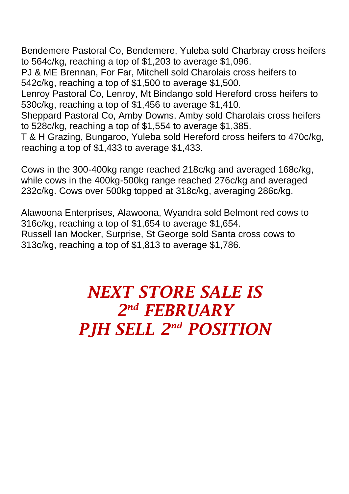Bendemere Pastoral Co, Bendemere, Yuleba sold Charbray cross heifers to 564c/kg, reaching a top of \$1,203 to average \$1,096.

PJ & ME Brennan, For Far, Mitchell sold Charolais cross heifers to 542c/kg, reaching a top of \$1,500 to average \$1,500.

Lenroy Pastoral Co, Lenroy, Mt Bindango sold Hereford cross heifers to 530c/kg, reaching a top of \$1,456 to average \$1,410.

Sheppard Pastoral Co, Amby Downs, Amby sold Charolais cross heifers to 528c/kg, reaching a top of \$1,554 to average \$1,385.

T & H Grazing, Bungaroo, Yuleba sold Hereford cross heifers to 470c/kg, reaching a top of \$1,433 to average \$1,433.

Cows in the 300-400kg range reached 218c/kg and averaged 168c/kg, while cows in the 400kg-500kg range reached 276c/kg and averaged 232c/kg. Cows over 500kg topped at 318c/kg, averaging 286c/kg.

Alawoona Enterprises, Alawoona, Wyandra sold Belmont red cows to 316c/kg, reaching a top of \$1,654 to average \$1,654. Russell Ian Mocker, Surprise, St George sold Santa cross cows to 313c/kg, reaching a top of \$1,813 to average \$1,786.

## *NEXT STORE SALE IS 2 nd FEBRUARY PJH SELL 2 nd POSITION*